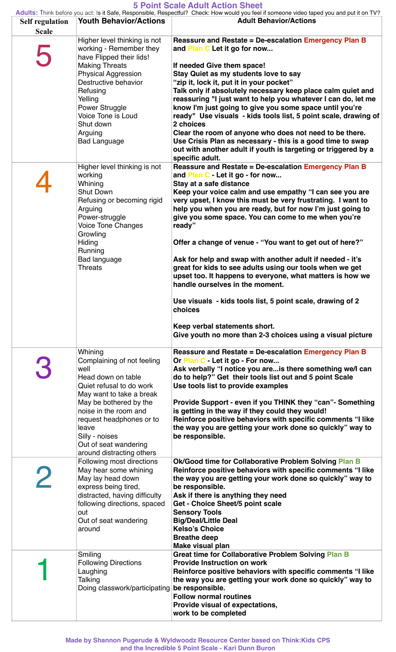## **5 Point Scale Adult Action Sheet**

|                                        |                                           | Adults: Think before you act: Is it Safe, Responsible, Respectful? Check: How would you feel if someone video taped you and put it on TV? |
|----------------------------------------|-------------------------------------------|-------------------------------------------------------------------------------------------------------------------------------------------|
| <b>Self regulation</b><br><b>Scale</b> | <b>Youth Behavior/Actions</b>             | <b>Adult Behavior/Actions</b>                                                                                                             |
|                                        | Higher level thinking is not              | Reassure and Restate = De-escalation Emergency Plan B                                                                                     |
| $\sqrt{2}$                             | working - Remember they                   | and Plan C Let it go for now                                                                                                              |
|                                        | have Flipped their lids!                  |                                                                                                                                           |
|                                        | <b>Making Threats</b>                     | If needed Give them space!                                                                                                                |
|                                        | <b>Physical Aggression</b>                | Stay Quiet as my students love to say                                                                                                     |
|                                        | Destructive behavior                      | "zip it, lock it, put it in your pocket"                                                                                                  |
|                                        | Refusing                                  | Talk only if absolutely necessary keep place calm quiet and                                                                               |
|                                        | Yelling<br>Power Struggle                 | reassuring "I just want to help you whatever I can do, let me<br>know I'm just going to give you some space until you're                  |
|                                        | Voice Tone is Loud                        | ready" Use visuals - kids tools list, 5 point scale, drawing of                                                                           |
|                                        | Shut down                                 | 2 choices                                                                                                                                 |
|                                        | Arguing                                   | Clear the room of anyone who does not need to be there.                                                                                   |
|                                        | <b>Bad Language</b>                       | Use Crisis Plan as necessary - this is a good time to swap                                                                                |
|                                        |                                           | out with another adult if youth is targeting or triggered by a                                                                            |
|                                        |                                           | specific adult.                                                                                                                           |
|                                        | Higher level thinking is not              | Reassure and Restate = De-escalation Emergency Plan B                                                                                     |
|                                        | working<br>Whining                        | and Plan C - Let it go - for now<br>Stay at a safe distance                                                                               |
|                                        | Shut Down                                 | Keep your voice calm and use empathy "I can see you are                                                                                   |
|                                        | Refusing or becoming rigid                | very upset, I know this must be very frustrating. I want to                                                                               |
|                                        | Arguing                                   | help you when you are ready, but for now I'm just going to                                                                                |
|                                        | Power-struggle                            | give you some space. You can come to me when you're                                                                                       |
|                                        | <b>Voice Tone Changes</b>                 | ready"                                                                                                                                    |
|                                        | Growling                                  | Offer a change of venue - "You want to get out of here?"                                                                                  |
|                                        | Hiding<br>Running                         |                                                                                                                                           |
|                                        | <b>Bad language</b><br><b>Threats</b>     | Ask for help and swap with another adult if needed - it's<br>great for kids to see adults using our tools when we get                     |
|                                        |                                           | upset too. It happens to everyone, what matters is how we                                                                                 |
|                                        |                                           | handle ourselves in the moment.                                                                                                           |
|                                        |                                           | Use visuals - kids tools list, 5 point scale, drawing of 2                                                                                |
|                                        |                                           | choices                                                                                                                                   |
|                                        |                                           | Keep verbal statements short.                                                                                                             |
|                                        |                                           | Give youth no more than 2-3 choices using a visual picture                                                                                |
|                                        | Whining                                   | Reassure and Restate = De-escalation Emergency Plan B                                                                                     |
|                                        | Complaining of not feeling<br>well        | Or Plan C - Let it go - For now<br>Ask verbally "I notice you areis there something we/I can                                              |
|                                        | Head down on table                        | do to help?" Get their tools list out and 5 point Scale                                                                                   |
|                                        | Quiet refusal to do work                  | Use tools list to provide examples                                                                                                        |
|                                        | May want to take a break                  |                                                                                                                                           |
|                                        | May be bothered by the                    | Provide Support - even if you THINK they "can" - Something                                                                                |
|                                        | noise in the room and                     | is getting in the way if they could they would!                                                                                           |
|                                        | request headphones or to                  | Reinforce positive behaviors with specific comments "I like                                                                               |
|                                        | leave<br>Silly - noises                   | the way you are getting your work done so quickly" way to<br>be responsible.                                                              |
|                                        | Out of seat wandering                     |                                                                                                                                           |
|                                        | around distracting others                 |                                                                                                                                           |
|                                        | Following most directions                 | Ok/Good time for Collaborative Problem Solving Plan B                                                                                     |
|                                        | May hear some whining                     | Reinforce positive behaviors with specific comments "I like                                                                               |
|                                        | May lay head down<br>express being tired, | the way you are getting your work done so quickly" way to<br>be responsible.                                                              |
|                                        | distracted, having difficulty             | Ask if there is anything they need                                                                                                        |
|                                        | following directions, spaced              | Get - Choice Sheet/5 point scale                                                                                                          |
|                                        | out                                       | <b>Sensory Tools</b>                                                                                                                      |
|                                        | Out of seat wandering                     | <b>Big/Deal/Little Deal</b>                                                                                                               |
|                                        | around                                    | <b>Kelso's Choice</b>                                                                                                                     |
|                                        |                                           | <b>Breathe deep</b><br>Make visual plan                                                                                                   |
|                                        | Smiling                                   | <b>Great time for Collaborative Problem Solving Plan B</b>                                                                                |
|                                        | <b>Following Directions</b>               | <b>Provide Instruction on work</b>                                                                                                        |
|                                        | Laughing                                  | Reinforce positive behaviors with specific comments "I like                                                                               |
|                                        | Talking                                   | the way you are getting your work done so quickly" way to                                                                                 |
|                                        | Doing classwork/participating             | be responsible.                                                                                                                           |
|                                        |                                           | <b>Follow normal routines</b><br>Provide visual of expectations,                                                                          |
|                                        |                                           | work to be completed                                                                                                                      |

**Made by Shannon Pugerude & Wyldwoodz Resource Center based on Think:Kids CPS and the Incredible 5 Point Scale - Kari Dunn Buron**